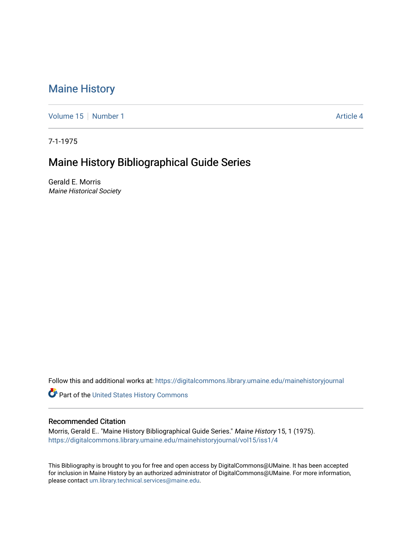## [Maine History](https://digitalcommons.library.umaine.edu/mainehistoryjournal)

[Volume 15](https://digitalcommons.library.umaine.edu/mainehistoryjournal/vol15) [Number 1](https://digitalcommons.library.umaine.edu/mainehistoryjournal/vol15/iss1) Article 4

7-1-1975

## Maine History Bibliographical Guide Series

Gerald E. Morris Maine Historical Society

Follow this and additional works at: [https://digitalcommons.library.umaine.edu/mainehistoryjournal](https://digitalcommons.library.umaine.edu/mainehistoryjournal?utm_source=digitalcommons.library.umaine.edu%2Fmainehistoryjournal%2Fvol15%2Fiss1%2F4&utm_medium=PDF&utm_campaign=PDFCoverPages) 

Part of the [United States History Commons](http://network.bepress.com/hgg/discipline/495?utm_source=digitalcommons.library.umaine.edu%2Fmainehistoryjournal%2Fvol15%2Fiss1%2F4&utm_medium=PDF&utm_campaign=PDFCoverPages) 

## Recommended Citation

Morris, Gerald E.. "Maine History Bibliographical Guide Series." Maine History 15, 1 (1975). [https://digitalcommons.library.umaine.edu/mainehistoryjournal/vol15/iss1/4](https://digitalcommons.library.umaine.edu/mainehistoryjournal/vol15/iss1/4?utm_source=digitalcommons.library.umaine.edu%2Fmainehistoryjournal%2Fvol15%2Fiss1%2F4&utm_medium=PDF&utm_campaign=PDFCoverPages)

This Bibliography is brought to you for free and open access by DigitalCommons@UMaine. It has been accepted for inclusion in Maine History by an authorized administrator of DigitalCommons@UMaine. For more information, please contact [um.library.technical.services@maine.edu.](mailto:um.library.technical.services@maine.edu)